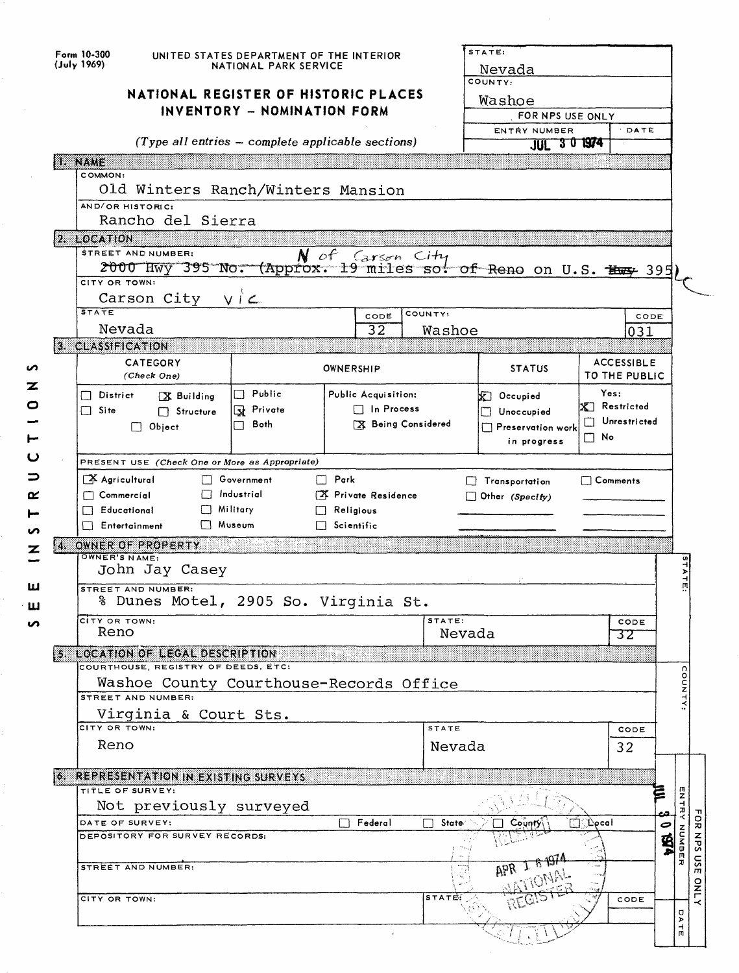|             | Form 10-300<br>(July 1969)<br>NATIONAL REGISTER OF HISTORIC PLACES                                                                                                                                                                                                              | UNITED STATES DEPARTMENT OF THE INTERIOR<br>NATIONAL PARK SERVICE<br>INVENTORY - NOMINATION FORM |                                                                |                  |  |                        | STATE:<br>Nevada<br>COUNTY:<br>Washoe<br>FOR NPS USE ONLY                                                                               |                       |                   |         |            |             |
|-------------|---------------------------------------------------------------------------------------------------------------------------------------------------------------------------------------------------------------------------------------------------------------------------------|--------------------------------------------------------------------------------------------------|----------------------------------------------------------------|------------------|--|------------------------|-----------------------------------------------------------------------------------------------------------------------------------------|-----------------------|-------------------|---------|------------|-------------|
|             |                                                                                                                                                                                                                                                                                 | (Type all entries - complete applicable sections)                                                |                                                                |                  |  |                        | ENTRY NUMBER<br>JUL 3 0 1974                                                                                                            |                       | DATE              |         |            |             |
|             | <b>I. NAME</b><br>COMMON:                                                                                                                                                                                                                                                       |                                                                                                  |                                                                |                  |  |                        |                                                                                                                                         |                       |                   |         |            |             |
|             | Old Winters Ranch/Winters Mansion<br>AND/OR HISTORIC:                                                                                                                                                                                                                           |                                                                                                  |                                                                |                  |  |                        |                                                                                                                                         |                       |                   |         |            |             |
|             | Rancho del Sierra<br>2. LOCATION                                                                                                                                                                                                                                                |                                                                                                  |                                                                |                  |  |                        |                                                                                                                                         |                       |                   |         |            |             |
|             | STREET AND NUMBER:<br>2000 Hwy 395 No. (Approx. 19 miles sot of Reno on U.S. Has 395                                                                                                                                                                                            |                                                                                                  |                                                                | N of Carson City |  |                        |                                                                                                                                         |                       |                   |         |            |             |
|             | CITY OR TOWN:<br>$V \cap L$<br>Carson City                                                                                                                                                                                                                                      |                                                                                                  |                                                                |                  |  |                        |                                                                                                                                         |                       |                   |         |            |             |
|             | <b>STATE</b><br>Nevada                                                                                                                                                                                                                                                          |                                                                                                  |                                                                | CODE<br>32       |  | COUNTY:<br>Washoe      |                                                                                                                                         |                       | CODE<br>031       |         |            |             |
|             | 3. CLASSIFICATION<br><b>CATEGORY</b>                                                                                                                                                                                                                                            |                                                                                                  |                                                                |                  |  |                        |                                                                                                                                         |                       | <b>ACCESSIBLE</b> |         |            |             |
| n<br>z      | (Check One)                                                                                                                                                                                                                                                                     |                                                                                                  | OWNERSHIP                                                      |                  |  |                        | <b>STATUS</b>                                                                                                                           |                       | TO THE PUBLIC     |         |            |             |
| 0           | $\Box$ District<br>X Building<br>$\Box$ Site<br>$\Box$ Structure<br>$\Box$ Object                                                                                                                                                                                               | $\Box$ Public<br>Private<br>Both<br>П                                                            | Public Acquisition:<br>$\Box$ In Process<br>X Being Considered |                  |  |                        | Yes:<br>$\mathbb{X}$ Occupied<br>$\mathbf{X}$ Restricted<br>Unoccupied<br>Unrestricted<br>Preservation work<br>$\Box$ No<br>in progress |                       |                   |         |            |             |
| ပ           | PRESENT USE (Check One or More as Appropriate)                                                                                                                                                                                                                                  |                                                                                                  |                                                                |                  |  |                        |                                                                                                                                         |                       |                   |         |            |             |
| ⊃<br>≃<br>n | Agricultural<br><b>Covernment</b><br>$\Box$ Park<br>$\Box$ Comments<br>Transportation<br>Industrial<br>$\Box$ Commercial<br>X Private Residence<br>Other (Specify)<br><b>Educational</b><br>Military<br>$\Box$ Religious<br><b>Nuseum</b><br>Entertainment<br>$\Box$ Scientific |                                                                                                  |                                                                |                  |  |                        |                                                                                                                                         |                       |                   |         |            |             |
| z           | 14 OWNER OF PROPERTY<br>OWNER'S NAME:                                                                                                                                                                                                                                           |                                                                                                  |                                                                |                  |  |                        |                                                                                                                                         |                       |                   |         |            |             |
| ш           | John Jay Casey<br><b>STREET AND NUMBER:</b>                                                                                                                                                                                                                                     |                                                                                                  |                                                                |                  |  |                        |                                                                                                                                         |                       |                   |         | STATE      |             |
| ш           | % Dunes Motel, 2905 So. Virginia St.                                                                                                                                                                                                                                            |                                                                                                  |                                                                |                  |  |                        |                                                                                                                                         |                       |                   |         |            |             |
| n           | CITY OR TOWN:<br>Reno                                                                                                                                                                                                                                                           |                                                                                                  |                                                                |                  |  | STATE:<br>Nevada       |                                                                                                                                         |                       | CODE<br>32        |         |            |             |
|             | 5. LOCATION OF LEGAL DESCRIPTION<br>COURTHOUSE, REGISTRY OF DEEDS, ETC:                                                                                                                                                                                                         |                                                                                                  |                                                                |                  |  |                        |                                                                                                                                         |                       |                   |         |            |             |
|             | Washoe County Courthouse-Records Office<br>STREET AND NUMBER:                                                                                                                                                                                                                   |                                                                                                  |                                                                |                  |  |                        |                                                                                                                                         |                       |                   |         | COUNTY:    |             |
|             | Virginia & Court Sts.                                                                                                                                                                                                                                                           |                                                                                                  |                                                                |                  |  |                        |                                                                                                                                         |                       |                   |         |            |             |
|             | CITY OR TOWN:<br>Reno                                                                                                                                                                                                                                                           |                                                                                                  |                                                                |                  |  | <b>STATE</b><br>Nevada |                                                                                                                                         |                       | CODE<br>32        |         |            |             |
|             | 6. REPRESENTATION IN EXISTING SURVEYS                                                                                                                                                                                                                                           |                                                                                                  |                                                                |                  |  |                        |                                                                                                                                         |                       |                   |         |            |             |
|             | TITLE OF SURVEY:<br>Not previously surveyed                                                                                                                                                                                                                                     |                                                                                                  |                                                                |                  |  |                        |                                                                                                                                         |                       |                   | ē       | ENTRY NUMB |             |
|             | DATE OF SURVEY:                                                                                                                                                                                                                                                                 |                                                                                                  | H                                                              | Federal          |  | State/<br>П            | County,                                                                                                                                 | $\Box$ : Docal $\Box$ |                   | د،<br>0 |            |             |
|             | DEPOSITORY FOR SURVEY RECORDS:                                                                                                                                                                                                                                                  |                                                                                                  |                                                                |                  |  |                        |                                                                                                                                         |                       |                   | ቜ       | ήħ.<br>IJ  | FOR NPS USE |
|             | STREET AND NUMBER:                                                                                                                                                                                                                                                              |                                                                                                  |                                                                |                  |  |                        |                                                                                                                                         |                       |                   |         |            | <b>DNLY</b> |
|             | CITY OR TOWN:                                                                                                                                                                                                                                                                   |                                                                                                  |                                                                |                  |  | <b>STATE:</b>          |                                                                                                                                         |                       | CODE              |         | U<br>⋗     |             |
|             |                                                                                                                                                                                                                                                                                 |                                                                                                  |                                                                |                  |  |                        |                                                                                                                                         |                       |                   |         | 뉴          |             |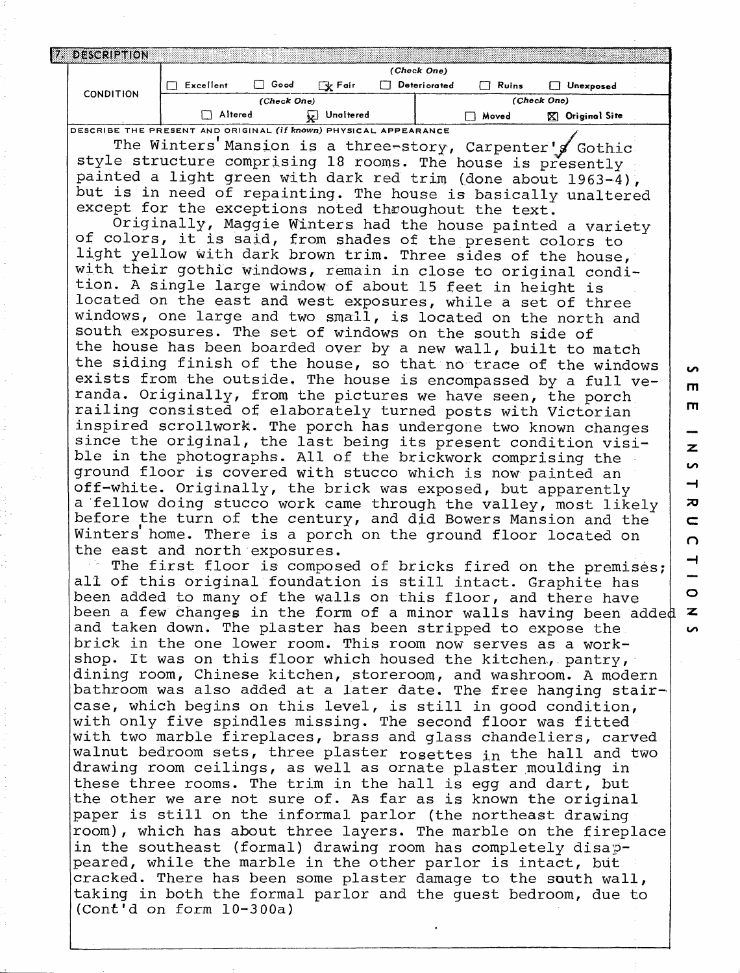| DESCRIPTION                                                             |           |             |           |              |       |                     |
|-------------------------------------------------------------------------|-----------|-------------|-----------|--------------|-------|---------------------|
|                                                                         |           |             |           | (Check One)  |       |                     |
| <b>CONDITION</b>                                                        | Excellent | Good        | े√⊬ Fair  | Deteriorated | Ruins | Unexposed           |
|                                                                         |           | (Check One) |           |              |       | (Check One)         |
|                                                                         | Altered   |             | Unaltered |              | Moved | Original Site<br>K. |
| DESCRIBE THE PRESENT AND ORIGINAL <i>(if known)</i> PHYSICAL APPEARANCE |           |             |           |              |       |                     |

The Winters'Mansion is a three-story, Carpenter's Gothic style structure comprising 18 rooms. The house is presently painted a light green with dark red trim (done about 1963-4), but is in need of repainting. The house is basically unaltered except for the exceptions noted throughout the text.

Originally, Maggie Winters had the house painted a variety of colors, it is said, from shades of the present colors to light yellow with dark brown trim. Three sides of the house, with their gothic windows, remain in close to original condition. A single large window of about 15 feet in height is located on the east and west exposures, while a set of three windows, one large and two small, is located on the north and south exposures. The set of windows on the south side of the house has been boarded over by a new wall, built to match the siding finish of the house, so that no trace of the windows exists from the outside. The house is encompassed by a full veranda. Originally, from the pictures we have seen, the porch railing consisted of elaborately turned posts with Victorian inspired scrollwork. The porch has undergone two known changes since the original, the last being its present condition visible in the photographs. All of the brickwork comprising the ground floor is covered with stucco which is now painted an off-white. Originally, the brick was exposed, but apparently a 'fellow doing stucco work came through the valley, most likely before the turn of the century, and did Bowers Mansion and the Winters home. There is a porch on the ground floor located on the east and north exposures,

**GO** m m

**GO**

 $\overline{\phantom{0}}$ ᅎ

z

 $\mathbf{C}$ n

o *•z.* **GO**

ᆋ

The first floor is composed of bricks fired on the premises; all of this original foundation is still intact. Graphite has been added to many of the walls on this floor, and there have been a few changes in the form of a minor walls having been added and taken down. The plaster has been stripped to expose the brick in the one lower room. This room now serves as a workshop. It was on this floor which housed the kitchen, pantry, dining room, Chinese kitchen, storeroom, and washroom. A modern bathroom was also added at a later date. The free hanging staircase, which begins on this level, is still in good condition, with only five spindles missing. The second floor was fitted with two marble fireplaces, brass and glass chandeliers, carved walnut bedroom sets, three plaster rosettes in the hall and two drawing room ceilings, as well as ornate plaster moulding in these three rooms. The trim in the hall is egg and dart, but the other we are not sure of. As far as is known the original paper is still on the informal parlor (the northeast drawing room), which has about three layers. The marble on the fireplace in the southeast (formal) drawing room has completely disappeared, while the marble in the other parlor is intact, but cracked. There has been some plaster damage to the south wall, taking in both the formal parlor and the guest bedroom, due to (Cont'd on form 10-300a)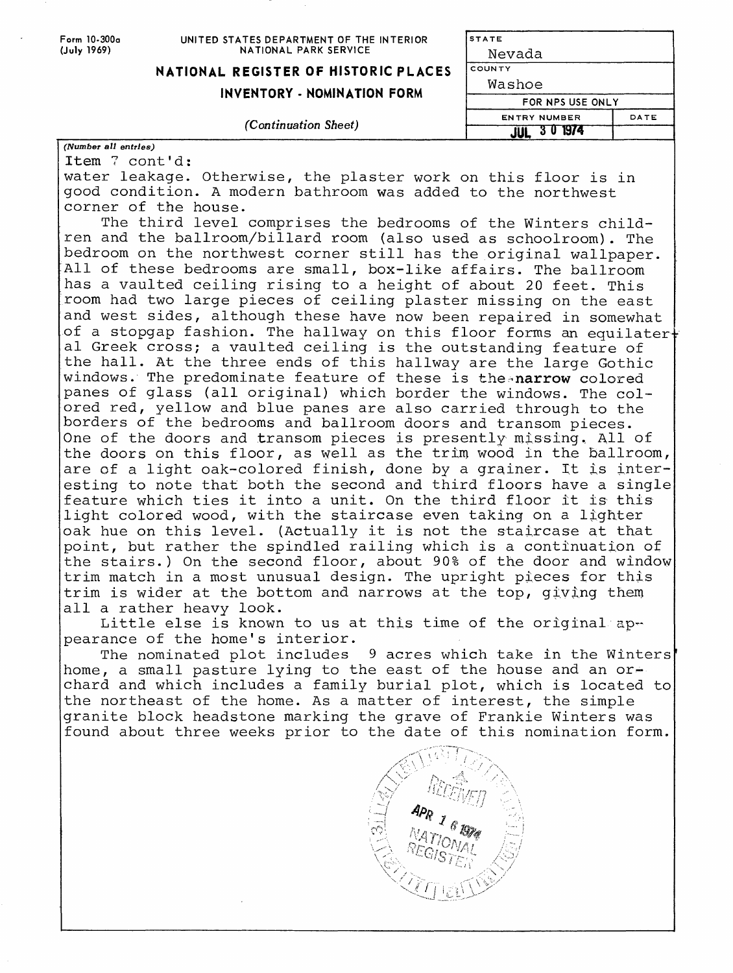Form 10-300a **(July** 1969)

#### UNITED STATES DEPARTMENT OF THE INTERIOR NATIONAL PARK SERVICE

**STATE**

Nevada **COUNTY**

## **NATIONAL REGISTER OF HISTORIC PLACES**

### **INVENTORY - NOMINATION F**

#### *(Continuation Sheet)*

| ORM | Washoe              |  |
|-----|---------------------|--|
|     | FOR NPS USE ONLY    |  |
|     | <b>ENTRY NUMBER</b> |  |
|     | 301974              |  |

DATE

# *(Number all entries)*

Item *7* cont'd: water leakage. Otherwise, the plaster work on this floor is in good condition. A modern bathroom was added to the northwest corner of the house.

The third level comprises the bedrooms of the Winters children and the ballroom/billard room (also used as schoolroom). The bedroom on the northwest corner still has the original wallpaper. All of these bedrooms are small, box-like affairs. The ballroom has a vaulted ceiling rising to a height of about 20 feet. This room had two large pieces of ceiling plaster missing on the east and west sides, although these have now been repaired in somewhat of a stopgap fashion. The hallway on this floor forms an equilater $\dagger$ al Greek cross; a vaulted ceiling is the outstanding feature of the hall. At the three ends of this hallway are the large Gothic windows. The predominate feature of these is the narrow colored panes of glass (all original) which border the windows. The colored red, yellow and blue panes are also carried through to the borders of the bedrooms and ballroom doors and transom pieces. One of the doors and transom pieces is presently missing. All of the doors on this floor, as well as the trim wood in the ballroom, are of a light oak-colored finish, done by a grainer. It is interesting to note that both the second and third floors have a single feature which ties it into a unit. On the third floor it is this light colored wood, with the staircase even taking on a lighter oak hue on this level. (Actually it is not the staircase at that point, but rather the spindled railing which is a continuation of the stairs.) On the second floor, about 90% of the door and window trim match in a most unusual design. The upright pieces for this trim is wider at the bottom and narrows at the top, giving them all a rather heavy look.

Little else is known to us at this time of the original appearance of the home's interior.

The nominated plot includes 9 acres which take in the Winters home, a small pasture lying to the east of the house and an orchard and which includes a family burial plot, which is located to the northeast of the home. As a matter of interest, the simple granite block headstone marking the grave of Frankie Winters was found about three weeks prior to the date of this nomination form.

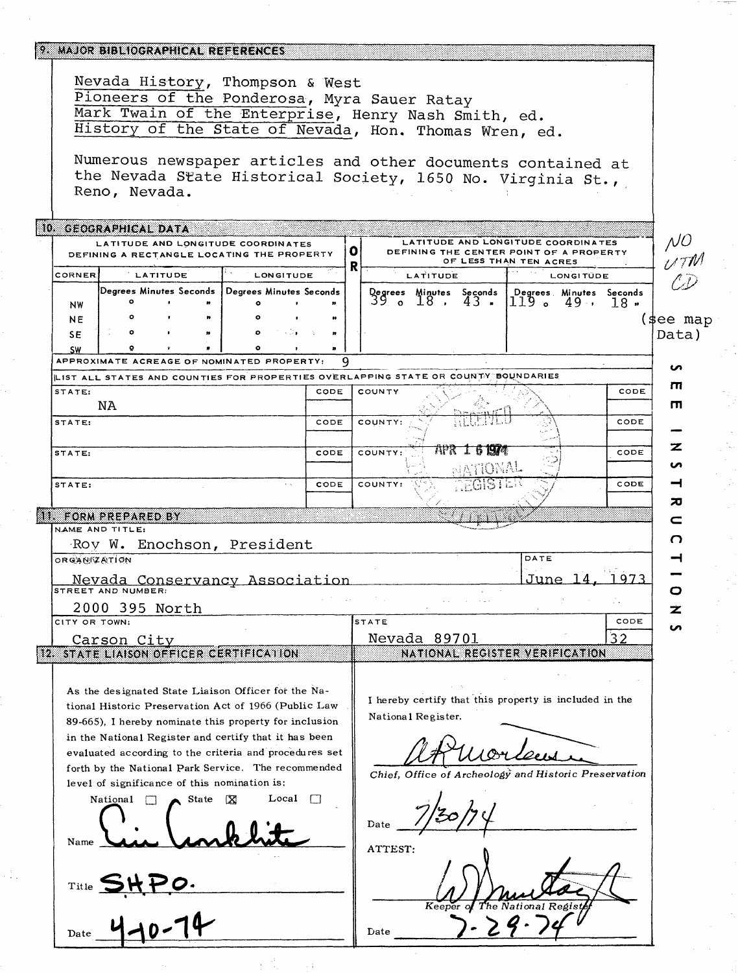|                                                                                                                                                                                                | 9. MAJOR BIBLIOGRAPHICAL REFERENCES                                |         |                                                                                                                                                                                                                                                                                                                                                 |        |              |                                                                                                                                       |                                |                        |           |            |               |
|------------------------------------------------------------------------------------------------------------------------------------------------------------------------------------------------|--------------------------------------------------------------------|---------|-------------------------------------------------------------------------------------------------------------------------------------------------------------------------------------------------------------------------------------------------------------------------------------------------------------------------------------------------|--------|--------------|---------------------------------------------------------------------------------------------------------------------------------------|--------------------------------|------------------------|-----------|------------|---------------|
| Nevada History, Thompson & West<br>Pioneers of the Ponderosa, Myra Sauer Ratay<br>Mark Twain of the Enterprise, Henry Nash Smith, ed.<br>History of the State of Nevada, Hon. Thomas Wren, ed. |                                                                    |         |                                                                                                                                                                                                                                                                                                                                                 |        |              |                                                                                                                                       |                                |                        |           |            |               |
|                                                                                                                                                                                                | Reno, Nevada.                                                      |         |                                                                                                                                                                                                                                                                                                                                                 |        |              | Numerous newspaper articles and other documents contained at<br>the Nevada State Historical Society, 1650 No. Virginia St.,           |                                |                        |           |            |               |
|                                                                                                                                                                                                | 10. GEOGRAPHICAL DATA                                              |         | LATITUDE AND LONGITUDE COORDINATES<br>DEFINING A RECTANGLE LOCATING THE PROPERTY                                                                                                                                                                                                                                                                |        | $\mathbf{o}$ | LATITUDE AND LONGITUDE COORDINATES<br>DEFINING THE CENTER POINT OF A PROPERTY                                                         |                                |                        |           |            | $\mathcal{N}$ |
|                                                                                                                                                                                                |                                                                    |         |                                                                                                                                                                                                                                                                                                                                                 |        | R            |                                                                                                                                       |                                | OF LESS THAN TEN ACRES |           |            | <b>UTM</b>    |
| CORNER                                                                                                                                                                                         | <b>LATITUDE</b>                                                    |         | LONGITUDE                                                                                                                                                                                                                                                                                                                                       |        |              | LATITUDE                                                                                                                              |                                |                        | LONGITÜDE |            |               |
| NW<br><b>NE</b>                                                                                                                                                                                |                                                                    |         | Degrees Minutes Seconds   Degrees Minutes Seconds                                                                                                                                                                                                                                                                                               |        |              | Qegrees Minutes Seconds   Degrees Minutes Seconds<br>39 。 18 ,                                                                        | 43.                            | ە 1179                 | 49.,      | $18 \cdot$ | (\$ee map     |
| <b>SE</b><br>SW                                                                                                                                                                                |                                                                    |         |                                                                                                                                                                                                                                                                                                                                                 |        |              |                                                                                                                                       |                                |                        |           |            | Data)         |
|                                                                                                                                                                                                |                                                                    |         | APPROXIMATE ACREAGE OF NOMINATED PROPERTY:                                                                                                                                                                                                                                                                                                      |        | 9            |                                                                                                                                       |                                |                        |           |            | ທ             |
|                                                                                                                                                                                                |                                                                    |         |                                                                                                                                                                                                                                                                                                                                                 |        |              | LIST ALL STATES AND COUNTIES FOR PROPERTIES OVERLAPPING STATE OR COUNTY BOUNDARIES                                                    |                                |                        |           |            | п             |
| STATE:                                                                                                                                                                                         | ΝA                                                                 |         |                                                                                                                                                                                                                                                                                                                                                 | CODE   |              | COUNTY                                                                                                                                |                                |                        |           | CODE       | ш             |
| STATE:                                                                                                                                                                                         |                                                                    |         |                                                                                                                                                                                                                                                                                                                                                 | CODE   |              | COUNTY:                                                                                                                               |                                |                        |           | CODE       |               |
| STATE:                                                                                                                                                                                         |                                                                    |         |                                                                                                                                                                                                                                                                                                                                                 | CODE   |              | COUNTY:                                                                                                                               | <b>APR 1 6 1974</b><br>MEOTTAL |                        |           | CODE       | z<br>n        |
| STATE:                                                                                                                                                                                         |                                                                    |         |                                                                                                                                                                                                                                                                                                                                                 | CODE   |              | COUNTY:                                                                                                                               | GISTE                          |                        |           | CODE       | ⊣             |
|                                                                                                                                                                                                | <b>11. FORM PREPARED BY</b>                                        |         |                                                                                                                                                                                                                                                                                                                                                 |        |              |                                                                                                                                       |                                |                        |           |            | ᅍ<br>c        |
|                                                                                                                                                                                                | NAME AND TITLE:                                                    |         | Roy W. Enochson, President                                                                                                                                                                                                                                                                                                                      |        |              |                                                                                                                                       |                                |                        |           |            | O             |
| ORGANIZATION                                                                                                                                                                                   |                                                                    |         |                                                                                                                                                                                                                                                                                                                                                 |        |              |                                                                                                                                       |                                | DATE                   |           |            |               |
|                                                                                                                                                                                                |                                                                    |         | Nevada Conservancy Association<br>STREET AND NUMBER:                                                                                                                                                                                                                                                                                            |        |              |                                                                                                                                       |                                | <u>June </u>           |           | 973        | o             |
|                                                                                                                                                                                                | 2000 395 North                                                     |         |                                                                                                                                                                                                                                                                                                                                                 |        |              |                                                                                                                                       |                                |                        |           |            |               |
| CITY OR TOWN:                                                                                                                                                                                  |                                                                    |         |                                                                                                                                                                                                                                                                                                                                                 |        |              | <b>STATE</b>                                                                                                                          |                                |                        |           | CODE       | n             |
|                                                                                                                                                                                                | Carson City                                                        |         | 12 STATE LIAISON OFFICER CERTIFICATION                                                                                                                                                                                                                                                                                                          |        |              | Nevada 89701<br>NATIONAL REGISTER VERIFICATION                                                                                        |                                |                        |           | 32         |               |
|                                                                                                                                                                                                |                                                                    |         |                                                                                                                                                                                                                                                                                                                                                 |        |              |                                                                                                                                       |                                |                        |           |            |               |
|                                                                                                                                                                                                |                                                                    |         | As the designated State Liaison Officer for the Na-<br>tional Historic Preservation Act of 1966 (Public Law<br>89-665), I hereby nominate this property for inclusion<br>in the National Register and certify that it has been<br>evaluated according to the criteria and procedures set<br>forth by the National Park Service. The recommended |        |              | I hereby certify that this property is included in the<br>National Register.<br>Chief, Office of Archeology and Historic Preservation |                                |                        |           |            |               |
| Name                                                                                                                                                                                           | level of significance of this nomination is:<br>National<br>$\Box$ | . State | Local<br>ΙX                                                                                                                                                                                                                                                                                                                                     | $\Box$ |              | Date                                                                                                                                  |                                |                        |           |            |               |
| Title                                                                                                                                                                                          | $25.1 - 41.$                                                       |         |                                                                                                                                                                                                                                                                                                                                                 |        |              | ATTEST:<br>Keeper of                                                                                                                  | The N                          |                        |           |            |               |
| Date                                                                                                                                                                                           |                                                                    |         |                                                                                                                                                                                                                                                                                                                                                 |        |              | Date                                                                                                                                  |                                |                        |           |            |               |

 $\frac{1}{2}$  ,  $\frac{1}{2}$ 

 $\pm 4$ 

аÑ,